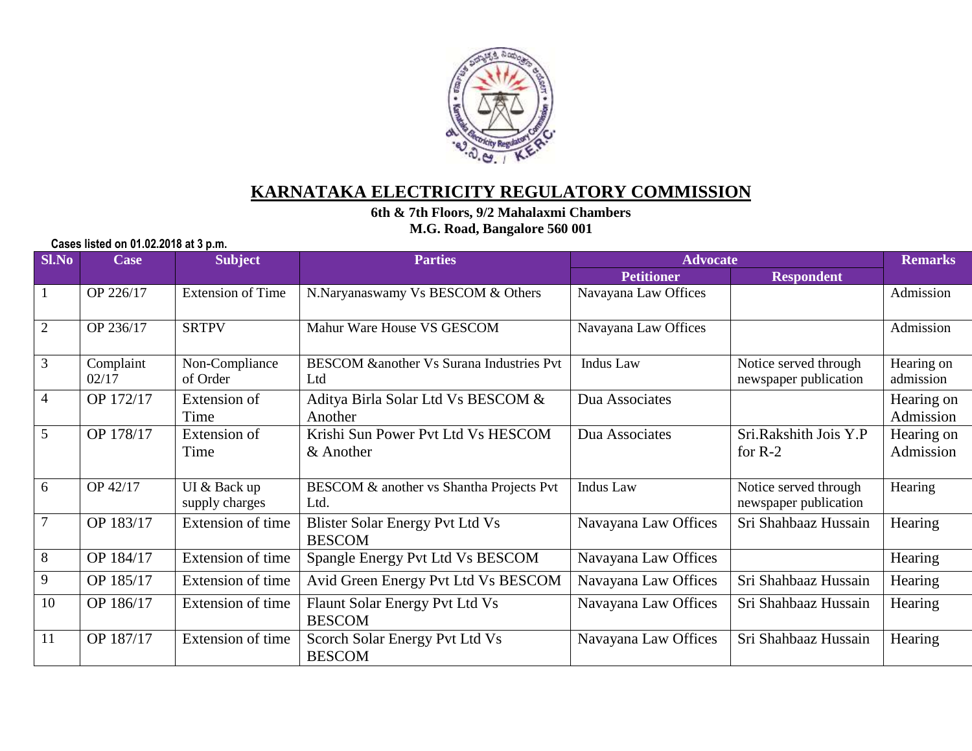

## **KARNATAKA ELECTRICITY REGULATORY COMMISSION**

**6th & 7th Floors, 9/2 Mahalaxmi Chambers** 

**M.G. Road, Bangalore 560 001**

**Cases listed on 01.02.2018 at 3 p.m.**

| <b>Sl.No</b>   | <b>Case</b>        | <b>Subject</b>                 | <b>Parties</b>                                             | <b>Advocate</b>      |                                                | <b>Remarks</b>          |
|----------------|--------------------|--------------------------------|------------------------------------------------------------|----------------------|------------------------------------------------|-------------------------|
|                |                    |                                |                                                            | <b>Petitioner</b>    | <b>Respondent</b>                              |                         |
| $\mathbf{1}$   | OP 226/17          | <b>Extension of Time</b>       | N.Naryanaswamy Vs BESCOM & Others                          | Navayana Law Offices |                                                | Admission               |
| 2              | OP 236/17          | <b>SRTPV</b>                   | Mahur Ware House VS GESCOM                                 | Navayana Law Offices |                                                | Admission               |
| $\overline{3}$ | Complaint<br>02/17 | Non-Compliance<br>of Order     | <b>BESCOM &amp;another Vs Surana Industries Pvt</b><br>Ltd | <b>Indus</b> Law     | Notice served through<br>newspaper publication | Hearing on<br>admission |
| $\overline{4}$ | OP 172/17          | Extension of<br>Time           | Aditya Birla Solar Ltd Vs BESCOM &<br>Another              | Dua Associates       |                                                | Hearing on<br>Admission |
| $\overline{5}$ | OP 178/17          | Extension of<br>Time           | Krishi Sun Power Pvt Ltd Vs HESCOM<br>& Another            | Dua Associates       | Sri.Rakshith Jois Y.P<br>for $R-2$             | Hearing on<br>Admission |
| 6              | OP 42/17           | UI & Back up<br>supply charges | BESCOM & another vs Shantha Projects Pvt<br>Ltd.           | <b>Indus</b> Law     | Notice served through<br>newspaper publication | Hearing                 |
| $\overline{7}$ | OP 183/17          | Extension of time              | Blister Solar Energy Pvt Ltd Vs<br><b>BESCOM</b>           | Navayana Law Offices | Sri Shahbaaz Hussain                           | Hearing                 |
| $\overline{8}$ | OP 184/17          | Extension of time              | Spangle Energy Pvt Ltd Vs BESCOM                           | Navayana Law Offices |                                                | Hearing                 |
| $\overline{9}$ | OP 185/17          | Extension of time              | Avid Green Energy Pvt Ltd Vs BESCOM                        | Navayana Law Offices | Sri Shahbaaz Hussain                           | Hearing                 |
| 10             | OP 186/17          | Extension of time              | Flaunt Solar Energy Pvt Ltd Vs<br><b>BESCOM</b>            | Navayana Law Offices | Sri Shahbaaz Hussain                           | Hearing                 |
| 11             | OP 187/17          | Extension of time              | Scorch Solar Energy Pvt Ltd Vs<br><b>BESCOM</b>            | Navayana Law Offices | Sri Shahbaaz Hussain                           | Hearing                 |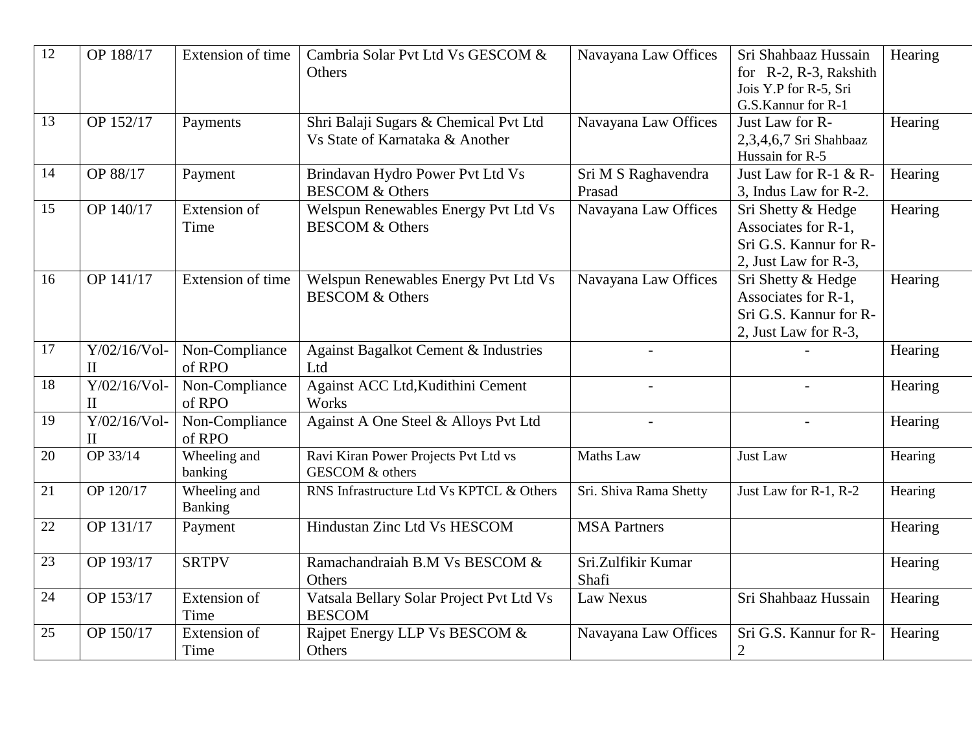| $\overline{12}$ | OP 188/17                       | Extension of time              | Cambria Solar Pvt Ltd Vs GESCOM &<br>Others                              | Navayana Law Offices          | Sri Shahbaaz Hussain<br>for R-2, R-3, Rakshith<br>Jois Y.P for R-5, Sri<br>G.S.Kannur for R-1 | Hearing |
|-----------------|---------------------------------|--------------------------------|--------------------------------------------------------------------------|-------------------------------|-----------------------------------------------------------------------------------------------|---------|
| 13              | OP 152/17                       | Payments                       | Shri Balaji Sugars & Chemical Pvt Ltd<br>Vs State of Karnataka & Another | Navayana Law Offices          | Just Law for R-<br>2,3,4,6,7 Sri Shahbaaz<br>Hussain for R-5                                  | Hearing |
| 14              | OP 88/17                        | Payment                        | Brindavan Hydro Power Pvt Ltd Vs<br><b>BESCOM &amp; Others</b>           | Sri M S Raghavendra<br>Prasad | Just Law for R-1 & R-<br>3, Indus Law for R-2.                                                | Hearing |
| 15              | OP 140/17                       | Extension of<br>Time           | Welspun Renewables Energy Pvt Ltd Vs<br><b>BESCOM &amp; Others</b>       | Navayana Law Offices          | Sri Shetty & Hedge<br>Associates for R-1,<br>Sri G.S. Kannur for R-<br>2, Just Law for R-3,   | Hearing |
| 16              | OP 141/17                       | Extension of time              | Welspun Renewables Energy Pvt Ltd Vs<br><b>BESCOM &amp; Others</b>       | Navayana Law Offices          | Sri Shetty & Hedge<br>Associates for R-1,<br>Sri G.S. Kannur for R-<br>2, Just Law for R-3,   | Hearing |
| 17              | $Y/02/16/Vol$ -<br>$\mathbf{I}$ | Non-Compliance<br>of RPO       | <b>Against Bagalkot Cement &amp; Industries</b><br>Ltd                   |                               |                                                                                               | Hearing |
| 18              | $Y/02/16/Vol$ -<br>$\mathbf{I}$ | Non-Compliance<br>of RPO       | Against ACC Ltd, Kudithini Cement<br>Works                               |                               |                                                                                               | Hearing |
| 19              | $Y/02/16/Vol-$<br>$\mathbf{I}$  | Non-Compliance<br>of RPO       | Against A One Steel & Alloys Pvt Ltd                                     |                               |                                                                                               | Hearing |
| 20              | OP 33/14                        | Wheeling and<br>banking        | Ravi Kiran Power Projects Pvt Ltd vs<br>GESCOM & others                  | Maths Law                     | Just Law                                                                                      | Hearing |
| 21              | OP 120/17                       | Wheeling and<br><b>Banking</b> | RNS Infrastructure Ltd Vs KPTCL & Others                                 | Sri. Shiva Rama Shetty        | Just Law for R-1, R-2                                                                         | Hearing |
| 22              | OP 131/17                       | Payment                        | Hindustan Zinc Ltd Vs HESCOM                                             | <b>MSA Partners</b>           |                                                                                               | Hearing |
| 23              | OP 193/17                       | <b>SRTPV</b>                   | Ramachandraiah B.M Vs BESCOM &<br>Others                                 | Sri.Zulfikir Kumar<br>Shafi   |                                                                                               | Hearing |
| 24              | OP 153/17                       | <b>Extension</b> of<br>Time    | Vatsala Bellary Solar Project Pvt Ltd Vs<br><b>BESCOM</b>                | <b>Law Nexus</b>              | Sri Shahbaaz Hussain                                                                          | Hearing |
| 25              | OP 150/17                       | Extension of<br>Time           | Rajpet Energy LLP Vs BESCOM &<br>Others                                  | Navayana Law Offices          | Sri G.S. Kannur for R-<br>$\overline{2}$                                                      | Hearing |